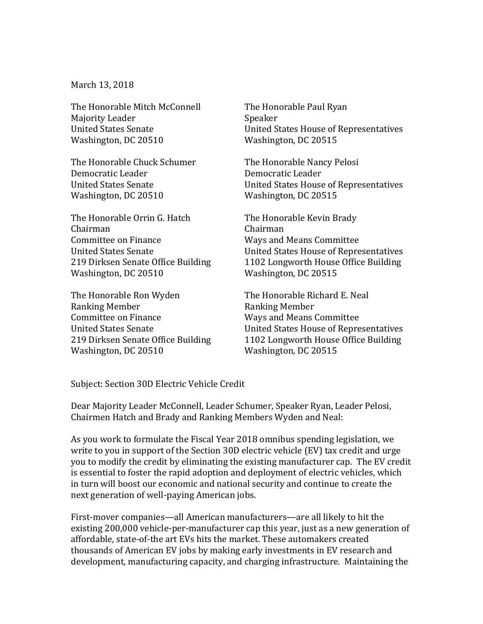March 13, 2018

The Honorable Mitch McConnell Majority Leader United States Senate Washington, DC 20510

The Honorable Chuck Schumer Democratic Leader United States Senate Washington, DC 20510

The Honorable Orrin G. Hatch Chairman Committee on Finance United States Senate 219 Dirksen Senate Office Building Washington, DC 20510

The Honorable Ron Wyden Ranking Member Committee on Finance United States Senate 219 Dirksen Senate Office Building Washington, DC 20510

The Honorable Paul Ryan Speaker United States House of Representatives Washington, DC 20515

The Honorable Nancy Pelosi Democratic Leader United States House of Representatives Washington, DC 20515

The Honorable Kevin Brady Chairman Ways and Means Committee United States House of Representatives 1102 Longworth House Office Building Washington, DC 20515

The Honorable Richard E. Neal Ranking Member Ways and Means Committee United States House of Representatives 1102 Longworth House Office Building Washington, DC 20515

Subject: Section 30D Electric Vehicle Credit

Dear Majority Leader McConnell, Leader Schumer, Speaker Ryan, Leader Pelosi, Chairmen Hatch and Brady and Ranking Members Wyden and Neal:

As you work to formulate the Fiscal Year 2018 omnibus spending legislation, we write to you in support of the Section 30D electric vehicle (EV) tax credit and urge you to modify the credit by eliminating the existing manufacturer cap. The EV credit is essential to foster the rapid adoption and deployment of electric vehicles, which in turn will boost our economic and national security and continue to create the next generation of well-paying American jobs.

First-mover companies—all American manufacturers—are all likely to hit the existing 200,000 vehicle-per-manufacturer cap this year, just as a new generation of affordable, state-of-the art EVs hits the market. These automakers created thousands of American EV jobs by making early investments in EV research and development, manufacturing capacity, and charging infrastructure. Maintaining the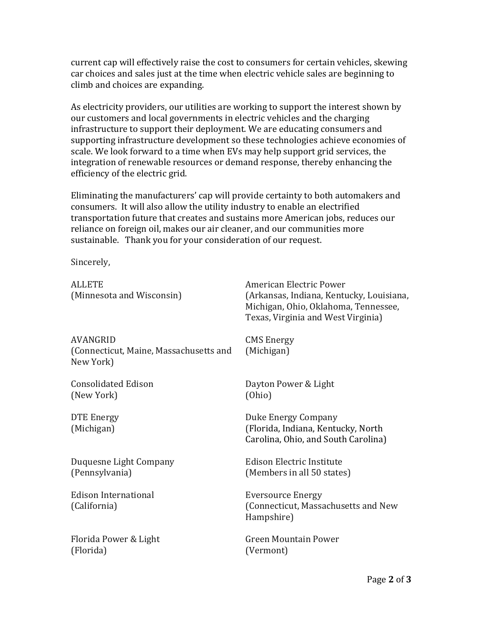current cap will effectively raise the cost to consumers for certain vehicles, skewing car choices and sales just at the time when electric vehicle sales are beginning to climb and choices are expanding.

As electricity providers, our utilities are working to support the interest shown by our customers and local governments in electric vehicles and the charging infrastructure to support their deployment. We are educating consumers and supporting infrastructure development so these technologies achieve economies of scale. We look forward to a time when EVs may help support grid services, the integration of renewable resources or demand response, thereby enhancing the efficiency of the electric grid.

Eliminating the manufacturers' cap will provide certainty to both automakers and consumers. It will also allow the utility industry to enable an electrified transportation future that creates and sustains more American jobs, reduces our reliance on foreign oil, makes our air cleaner, and our communities more sustainable. Thank you for your consideration of our request.

Sincerely,

| <b>ALLETE</b><br>(Minnesota and Wisconsin)                      | American Electric Power<br>(Arkansas, Indiana, Kentucky, Louisiana,<br>Michigan, Ohio, Oklahoma, Tennessee,<br>Texas, Virginia and West Virginia) |
|-----------------------------------------------------------------|---------------------------------------------------------------------------------------------------------------------------------------------------|
| AVANGRID<br>(Connecticut, Maine, Massachusetts and<br>New York) | <b>CMS</b> Energy<br>(Michigan)                                                                                                                   |
| <b>Consolidated Edison</b><br>(New York)                        | Dayton Power & Light<br>(Ohio)                                                                                                                    |
| DTE Energy<br>(Michigan)                                        | Duke Energy Company<br>(Florida, Indiana, Kentucky, North<br>Carolina, Ohio, and South Carolina)                                                  |
| Duquesne Light Company<br>(Pennsylvania)                        | Edison Electric Institute<br>(Members in all 50 states)                                                                                           |
| <b>Edison International</b><br>(California)                     | <b>Eversource Energy</b><br>(Connecticut, Massachusetts and New<br>Hampshire)                                                                     |
| Florida Power & Light<br>(Florida)                              | <b>Green Mountain Power</b><br>(Vermont)                                                                                                          |